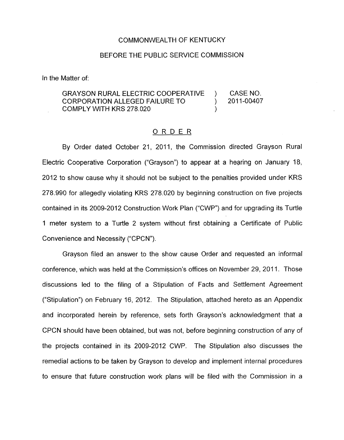# COMMONWEALTH OF KENTUCKY

### BEFORE THE PUBLIC SERVICE COMMISSION

In the Matter of:

GRAYSON RURAL ELECTRIC COOPERATIVE ) CASE NO.<br>CORPORATION ALLEGED FAILURE TO ) 2011-00407 CORPORATION ALLEGED FAILURE TO  $\qquad \qquad$ COMPLY WITH KRS 278.020 )

### ORDER

By Order dated October 21, 2011, the Commission directed Grayson Rural Electric Cooperative Corporation ("Grayson") to appear at a hegring on January 18, 2012 to show cause why it should not be subject to the penalties provided under KRS 278.990 for allegedly violating KRS 278.020 by beginning construction on five projects contained in its 2009-2012 Construction Work Plan ("CWP") and for upgrading its Turtle 1 meter system to a Turtle 2 system without first obtaining a Certificate of Public Convenience and Necessity ("CPCN").

Grayson filed an answer to the show cause Order and requested an informal conference, which was held at the Commission's offices on November 29, 2011. Those discussions led to the filing of a Stipulation of Facts and Settlement Agreement ("Stipulation") on February 16, 2012. The Stipulation, attached hereto as an Appendix and incorporated herein by reference, sets forth Grayson's acknowledgment that a CPCN should have been obtained, but was not, before beginning construction of any of the projects contained in its 2009-2012 CWP. The Stipulation also discusses the remedial actions to be taken by Grayson to develop and implement internal procedures to ensure that future construction work plans will be filed with the Commission in a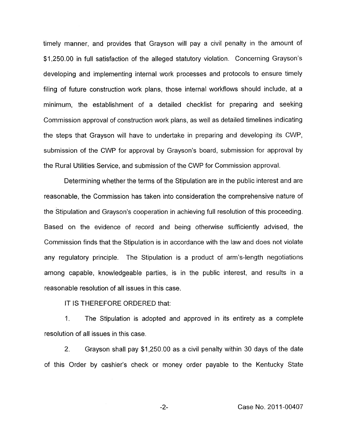<span id="page-1-0"></span>timely manner, and provides that Grayson will pay a civil penalty in the amount of \$1,250.00 in full satisfaction of the alleged statutory violation. Concerning Grayson's developing and implementing internal work processes and protocols to ensure timely filing of future construction work plans, those internal workflows should include, at a minimum, the establishment of a detailed checklist for preparing and seeking Commission approval of construction work plans, as well as detailed timelines indicating the steps that Grayson will have to undertake in preparing and developing its CWP, submission of the CWP for approval by Grayson's board, submission for approval by the Rural Utilities Service, and submission of the CWP for Commission approval.

Determining whether the terms of the Stipulation are in the public interest and are reasonable, the Commission has taken into consideration the comprehensive nature of the Stipulation and Grayson's cooperation in achieving full resolution of this proceeding. Based on the evidence of record and being otherwise sufficiently advised, the Commission finds that the Stipulation is in accordance with the law and does not violate any regulatory principle. The Stipulation is a product of arm's-length negotiations among capable, knowledgeable parties, is in the public interest, and results in a reasonable resolution of all issues in this case.

IT IS THEREFORE ORDERED that:

1. The Stipulation is adopted and approved in its entirety as a complete resolution of all issues in this case.

2. Grayson shall pay \$1,250.00 as a civil penalty within 30 days of the date of this Order by cashier's check or money order payable to the Kentucky State

-2- Case No. 201 1-00407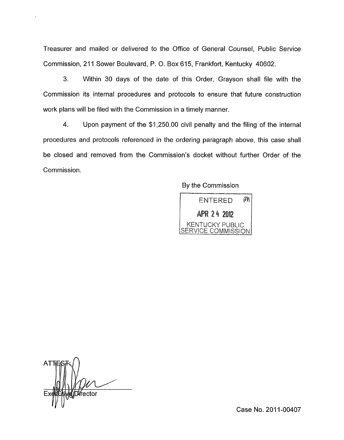Treasurer and mailed or delivered to the Office of General Counsel, Public Service Commission, 211 Sower Boulevard, P. O. Box 615, Frankfort, Kentucky 40602.

**3.** Within 30 days of the date of this Order, Grayson shall file with the Commission its internal procedures and protocols to ensure that future construction work plans will be filed with the Commission in a timely manner.

4. Upon payment of the \$1,250.00 civil penalty and the filing of the internal procedures and protocols referenced in the ordering paragraph above, this case shall be closed and removed from the Commission's docket without further Order of the Commission.

## By the Commission



AT **่** И́rector

Case No. 2011-00407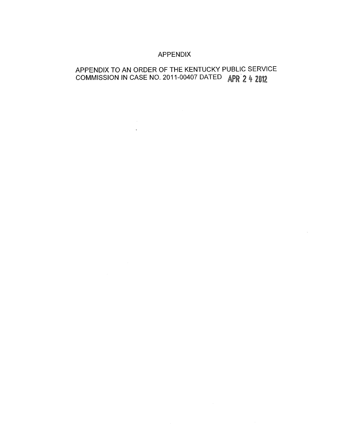# APPENDIX

# APPENDIX TO AN ORDER OF THE KENTUCKY PUBLIC SERVICE COMMISSION IN CASE NO. 2011-00407 DATED *A*

 $\mathcal{L}$ 

 $\label{eq:2.1} \frac{1}{\sqrt{2}}\int_{0}^{\infty}\frac{1}{\sqrt{2\pi}}\left(\frac{1}{\sqrt{2\pi}}\right)^{2\alpha} \frac{1}{\sqrt{2\pi}}\int_{0}^{\infty}\frac{1}{\sqrt{2\pi}}\left(\frac{1}{\sqrt{2\pi}}\right)^{\alpha} \frac{1}{\sqrt{2\pi}}\int_{0}^{\infty}\frac{1}{\sqrt{2\pi}}\frac{1}{\sqrt{2\pi}}\frac{1}{\sqrt{2\pi}}\frac{1}{\sqrt{2\pi}}\frac{1}{\sqrt{2\pi}}\frac{1}{\sqrt{2\pi}}\frac{1}{\sqrt{2\pi}}$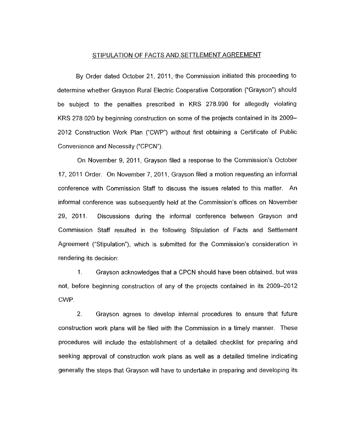#### STIPULATION OF FACTS AND SETTLEMENT AGREEMENT

By Order dated October 21, 2011, the Commission initiated this proceeding to determine whether Grayson Rural Electric Cooperative Corporation ("Grayson") should be subject to the penalties prescribed in KRS 278.990 for allegedly violating KRS 278 020 by beginning construction on some of the projects contained in its 2009- 2012 Construction Work Plan ("CWP") without first obtaining a Certificate of Public Convenience and Necessity ("CPCN").

On November 9, 2011, Grayson filed a response to the Commission's October 17, 2011 Order. On November 7, 2011, Grayson filed a motion requesting an informal conference with Commission Staff to discuss the issues related to this matter. An informal conference was subsequently held at the Commission's offices on November 29, 2011. Discussions during the informal conference between Grayson and Commission Staff resulted in the following Stipulation of Facts and Settlement Agreement ("Stipulation"), which is submitted for the Commission's consideration in rendering its decision:

I. Grayson acknowledges that a CPCN should have been obtained, but was not, before beginning construction of any of the projects contained in its 2009-2012 CWP.

2. Grayson agrees to develop internal procedures to ensure that future construction work plans will be filed with the Commission in a timely manner. These procedures will include the establishment of a detailed checklist for preparing and seeking approval of construction work plans as well as a detailed timeline indicating generally the steps that Grayson will have to undertake in preparing and developing its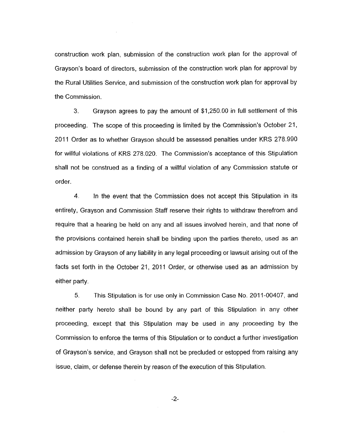construction work plan, submission of the construction work plan for the approval of Grayson's board of directors, submission of the construction work plan for approval by the Rural Utilities Service, and submission of the construction work plan for approval by the Commission.

**3.** Grayson agrees to pay the amount of \$1,250.00 in full settlement of this proceeding. The scope of this proceeding is limited by the Commission's October 21, 2011 Order as to whether Grayson should be assessed penalties under KRS 278.990 for willful violations of KRS 278.020. The Commission's acceptance of this Stipulation shall not be construed as a finding of a willful violation of any Commission statute or order.

**4** In the event that the Commission does not accept this Stipulation in its entirety, Grayson and Commission Staff reserve their rights to withdraw therefrom and require that a hearing be held on any and all issues involved herein, and that none of the provisions contained herein shall be binding upon the parties thereto, used as an admission by Grayson of any liability in any legal proceeding or lawsuit arising out of the facts set forth in the October 21, 2011 Order, or otherwise used as an admission by either party.

*5.* This Stipulation is for use only in Commission Case No. 2011-00407, and neither party hereto shall be bound by any part of this Stipulation in any other proceeding, except that this Stipulation may be used in any proceeding by the Commission to enforce the terms of this Stipulation or to conduct a further investigation of Grayson's service, and Grayson shall not be precluded or estopped from raising any issue, claim, or defense therein by reason of the execution of this Stipulation.

-2-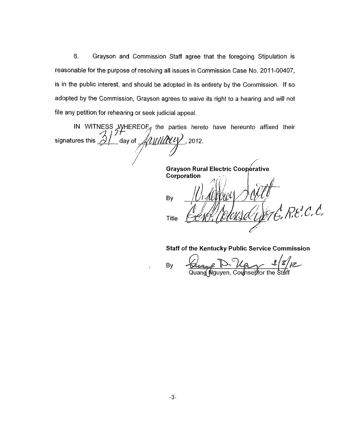6. Grayson and Commission Staff agree that the foregoing Stipulation is reasonable for the purpose of resolving all issues in Commission Case No. 2011-00407, is in the public interest, and should be adopted in its entirety by the Commission. If so adopted **by** the Commission, Grayson agrees to waive its right to a hearing and will not file any petition for rehearing or seek judicial appeal.

IN WITNESS WHEREOF<sub>1</sub> the parties hereto have hereunto affixed their signatures this  $\partial V$  day of  $\mathcal{M}\mathcal{M}\mathcal{M}\mathcal{N}$ , 2012. *'i J* ,/' *f* 

**Grayson Rural Electric Cooperative Corporation** Bv  $A$  Re. C. C. Title

**Staff of the Kentucky Public Service Commission** 

By

 $9 - 28/8$ Quang Nguyen, Cou